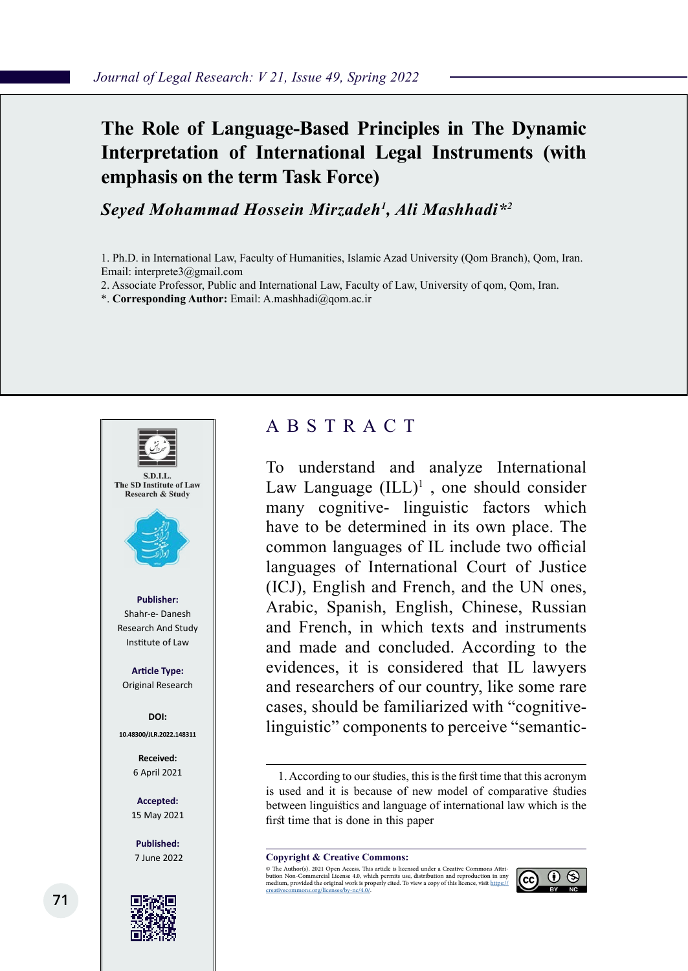## **The Role of Language-Based Principles in The Dynamic Interpretation of International Legal Instruments (with emphasis on the term Task Force)**

*Seyed Mohammad Hossein Mirzadeh1 , Ali Mashhadi\*2*

1. Ph.D. in International Law, Faculty of Humanities, Islamic Azad University (Qom Branch), Qom, Iran. Email: interprete3@gmail.com

2. Associate Professor, Public and International Law, Faculty of Law, University of qom, Qom, Iran.

\*. **Corresponding Author:** Email: A.mashhadi@qom.ac.ir



### ABSTRACT

To understand and analyze International Law Language  $(ILL)^1$ , one should consider many cognitive- linguistic factors which have to be determined in its own place. The common languages of IL include two official languages of International Court of Justice (ICJ), English and French, and the UN ones, Arabic, Spanish, English, Chinese, Russian and French, in which texts and instruments and made and concluded. According to the evidences, it is considered that IL lawyers and researchers of our country, like some rare cases, should be familiarized with "cognitivelinguistic" components to perceive "semantic-

1. According to our studies, this is the first time that this acronym is used and it is because of new model of comparative studies between linguistics and language of international law which is the first time that is done in this paper

**Copyright & Creative Commons:**<br>© The Author(s). 2021 Open Access. This article is licensed under a Creative Commons Attri-

© The Author(s). 2021 Open Access. This article is licensed under a Creative Commons Attri- bution Non-Commercial License 4.0, which permits use, distribution and reproduction in any medium, provided the original work is properly cited. To view a copy of this licence, visit https://<br>creativecommons.org/licenses/by-nc/4.0/.

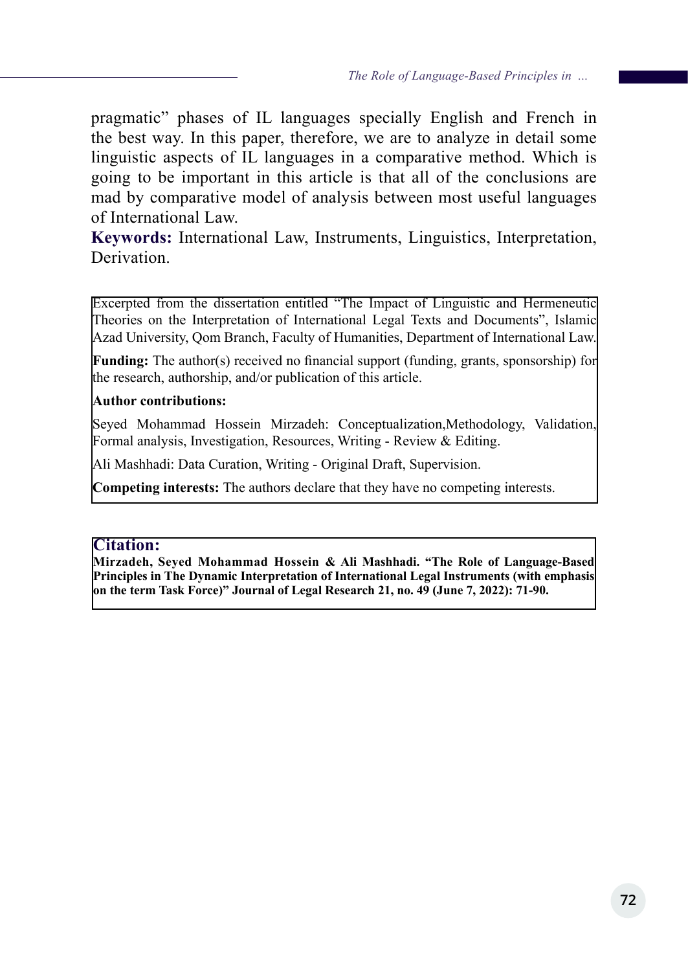pragmatic" phases of IL languages specially English and French in the best way. In this paper, therefore, we are to analyze in detail some linguistic aspects of IL languages in a comparative method. Which is going to be important in this article is that all of the conclusions are mad by comparative model of analysis between most useful languages of International Law.

**Keywords:** International Law, Instruments, Linguistics, Interpretation, Derivation.

Excerpted from the dissertation entitled "The Impact of Linguistic and Hermeneutic Theories on the Interpretation of International Legal Texts and Documents", Islamic Azad University, Qom Branch, Faculty of Humanities, Department of International Law.

**Funding:** The author(s) received no financial support (funding, grants, sponsorship) for the research, authorship, and/or publication of this article.

#### **Author contributions:**

Seyed Mohammad Hossein Mirzadeh: Conceptualization, Methodology, Validation, Formal analysis, Investigation, Resources, Writing - Review & Editing.

Ali Mashhadi: Data Curation, Writing - Original Draft, Supervision.

**Competing interests:** The authors declare that they have no competing interests.

#### **Citation:**

**Mirzadeh, Seyed Mohammad Hossein & Ali Mashhadi. "The Role of Language-Based Principles in The Dynamic Interpretation of International Legal Instruments (with emphasis on the term Task Force)" Journal of Legal Research 21, no. 49 (June 7, 2022): 71-90.**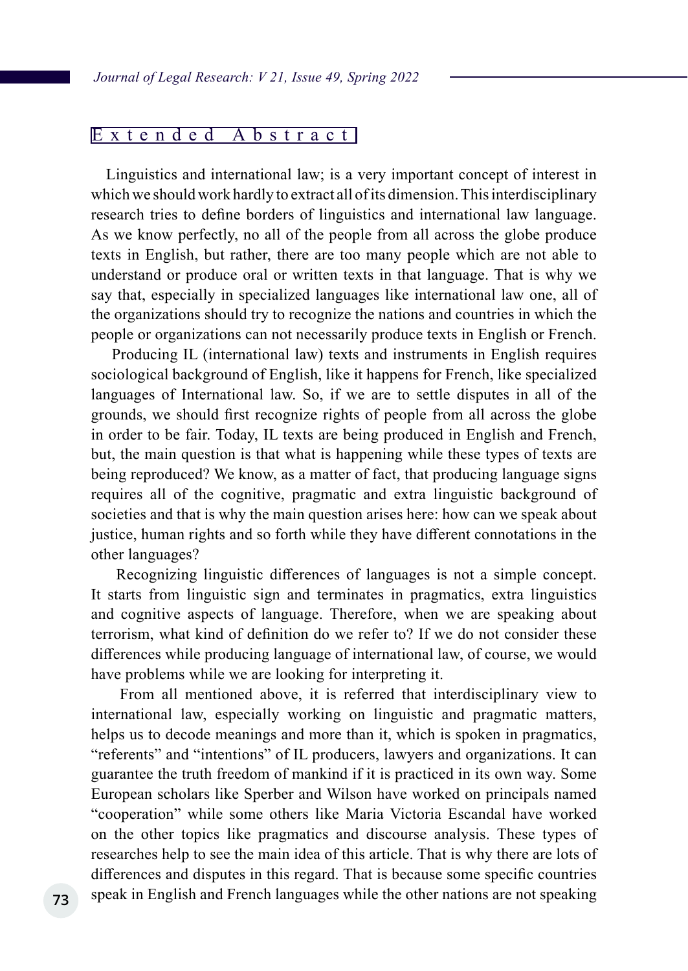#### Extended Abstract

 Linguistics and international law; is a very important concept of interest in which we should work hardly to extract all of its dimension. This interdisciplinary research tries to define borders of linguistics and international law language. As we know perfectly, no all of the people from all across the globe produce texts in English, but rather, there are too many people which are not able to understand or produce oral or written texts in that language. That is why we say that, especially in specialized languages like international law one, all of the organizations should try to recognize the nations and countries in which the people or organizations can not necessarily produce texts in English or French.

 Producing IL (international law) texts and instruments in English requires sociological background of English, like it happens for French, like specialized languages of International law. So, if we are to settle disputes in all of the grounds, we should first recognize rights of people from all across the globe in order to be fair. Today, IL texts are being produced in English and French, but, the main question is that what is happening while these types of texts are being reproduced? We know, as a matter of fact, that producing language signs requires all of the cognitive, pragmatic and extra linguistic background of societies and that is why the main question arises here: how can we speak about justice, human rights and so forth while they have different connotations in the other languages?

 Recognizing linguistic differences of languages is not a simple concept. It starts from linguistic sign and terminates in pragmatics, extra linguistics and cognitive aspects of language. Therefore, when we are speaking about terrorism, what kind of definition do we refer to? If we do not consider these differences while producing language of international law, of course, we would have problems while we are looking for interpreting it.

 From all mentioned above, it is referred that interdisciplinary view to international law, especially working on linguistic and pragmatic matters, helps us to decode meanings and more than it, which is spoken in pragmatics, "referents" and "intentions" of IL producers, lawyers and organizations. It can guarantee the truth freedom of mankind if it is practiced in its own way. Some European scholars like Sperber and Wilson have worked on principals named "cooperation" while some others like Maria Victoria Escandal have worked on the other topics like pragmatics and discourse analysis. These types of researches help to see the main idea of this article. That is why there are lots of differences and disputes in this regard. That is because some specific countries speak in English and French languages while the other nations are not speaking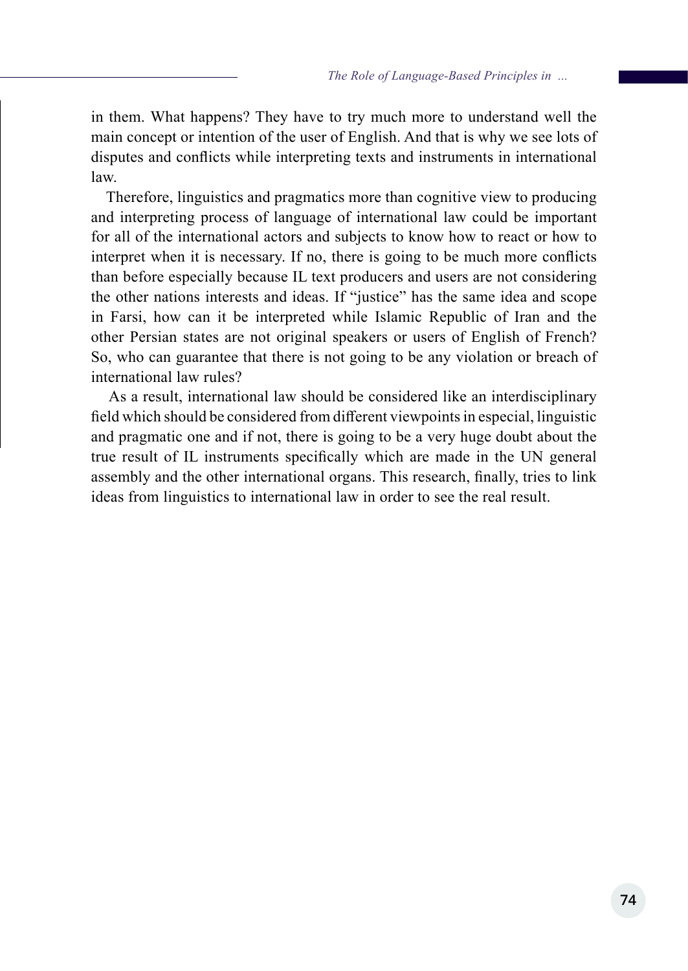in them. What happens? They have to try much more to understand well the main concept or intention of the user of English. And that is why we see lots of disputes and conflicts while interpreting texts and instruments in international law.

 Therefore, linguistics and pragmatics more than cognitive view to producing and interpreting process of language of international law could be important for all of the international actors and subjects to know how to react or how to interpret when it is necessary. If no, there is going to be much more conflicts than before especially because IL text producers and users are not considering the other nations interests and ideas. If "justice" has the same idea and scope in Farsi, how can it be interpreted while Islamic Republic of Iran and the other Persian states are not original speakers or users of English of French? So, who can guarantee that there is not going to be any violation or breach of international law rules?

 As a result, international law should be considered like an interdisciplinary field which should be considered from different viewpoints in especial, linguistic and pragmatic one and if not, there is going to be a very huge doubt about the true result of IL instruments specifically which are made in the UN general assembly and the other international organs. This research, finally, tries to link ideas from linguistics to international law in order to see the real result.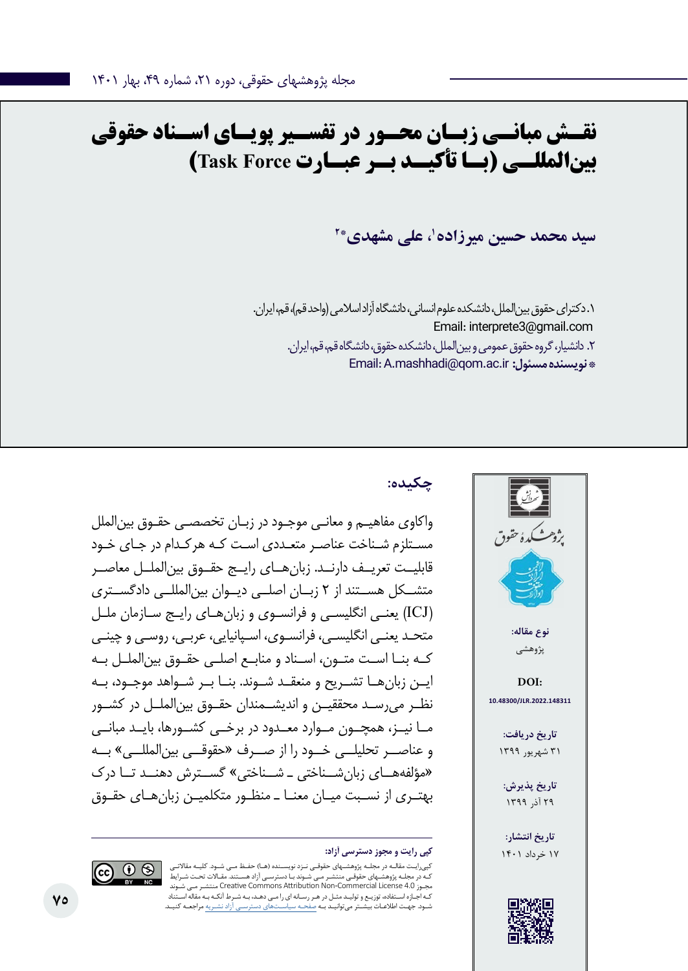# **نقـش مبانـی زبـان محـور در تفسـیر پویـای اسـناد حقوقی بینالمللـی )بـا تأکیـد بـر عبـارت Force Task)**

**2\* ،1 علی مشهدی سید محمد حسین میرزاده**

.1 دکترای حقوق بینالملل، دانشکده علوم انسانی، دانشگاه آزاد اسالمی )واحد قم(، قم، ایران. Email: interprete3@gmail.com .2 دانشیار، گروه حقوق عمومی و بینالملل، دانشکده حقوق، دانشگاه قم، قم، ایران. Email: A.mashhadi@qom.ac.ir **:مسئول نویسنده\*** 



### **چکیده:**

واکاوی مفاهیـم و معانـی موجـود در زبـان تخصصـی حقـوق بینالملل مسـتلزم شـناخت عناصـر متعـددی اسـت کـه هرکـدام در جـای خـود قابلیــت تعریــف دارنــد. زبانهــای رایــج حقــوق بینالملــل معاصــر متشــکل هســتند از 2 زبــان اصلــی دیــوان بینالمللــی دادگســتری )ICJ )یعنـی انگلیسـی و فرانسـوی و زبانهـای رایـج سـازمان ملـل متحـد یعنـی انگلیسـی، فرانسـوی، اسـپانیایی، عربـی، روسـی و چینـی کــه بنــا اســت متــون، اســناد و منابــع اصلــی حقــوق بینالملــل بــه ایــن زبانهــا تشــریح و منعقــد شــوند. بنــا بــر شــواهد موجــود، بــه نظــر میرســد محققیــن و اندیشــمندان حقــوق بینالملــل در کشــور مــا نیــز، همچــون مــوارد معــدود در برخــی کشــورها، بایــد مبانــی و عناصــر تحلیلــی خــود را از صــرف »حقوقــی بینالمللــی« بــه »مؤلفههــای زبانشــناختی ـ شــناختی« گســترش دهنــد تــا درک بهتـری از نسـبت میـان معنـا ـ منظـور متکلمیـن زبانهـای حقـوق

#### **کپی رایت و مجوز دسترسی آزاد:** 17 خرداد 1401

کپیرایـت مقالـه در مجلـه پژوهشـهای حقوقـی نـزد نویسـنده )هـا( حفـظ مـی شـود. کلیـه مقاالتـی ـهای حقوقـی منتشـر مـی شـوند بـا دسترسـی آزاد هسـتند. مقـالات تحـت شـرایط شـوند مـی منتشـر Creative Commons Attribution Non-Commercial License 4.0 مجـوز کـه اجـازه اسـتفاده، توزیـع و تولیـد مثـل در هـر رسـانه ای را مـی دهـد، بـه شـرط آنکـه بـه مقاله اسـتناد شـود. جهـت اطالعـات بیشـتر میتوانیـد بـه صفحـه سیاسـتهای دسترسـی آزاد نشـریه مراجعـه کنیـد.



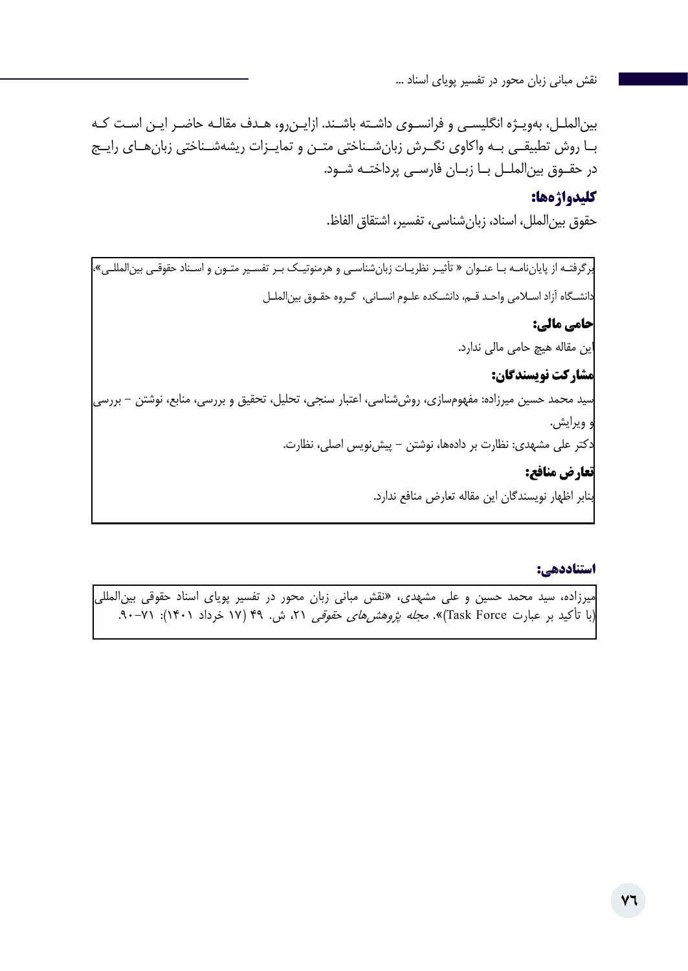بینالملـل، بهویـژه انگلیسـی و فرانسـوی داشـته باشـند. ازایـنرو، هـدف مقالـه حاضـر ایـن اسـت کـه بــا روش تطبیقــی بــه واکاوی نگــرش زبانشــناختی متــن و تمایــزات ریشهشــناختی زبانهــای رایــج در حقــوق بینالملــل بــا زبــان فارســی پرداختــه شــود.

#### **کلیدواژهها:**

حقوق بینالملل، اسناد، زبانشناسی، تفسیر، اشتقاق الفاظ.

برگرفتـه از پایاننامـه بـا عنـوان » تأثیـر نظریـات زبانشناسـی و هرمنوتیـک بـر تفسـیر متـون و اسـناد حقوقـی بینالمللـی«، دانشـگاه آزاد اسـامی واحـد قـم، دانشـکده علـوم انسـانی، گـروه حقـوق بینالملـل **حامی مالی:**  این مقاله هیچ حامی مالی ندارد. **مشارکت نویسندگان:**  سید محمد حسین میرزاده: مفهومسازی، روششناسی، اعتبار سنجی، تحلیل، تحقیق و بررسی، منابع، نوشتن - بررسی و ویرایش. دکتر علی مشهدی: نظارت بر دادهها، نوشتن - پیشنویس اصلی، نظارت. **تعارض منافع:**  بنابر اظهار نویسندگان این مقاله تعارض منافع ندارد.

#### **استناددهی:**

میرزاده، سید محمد حسین و علی مشهدی، »نقش مبانی زبان محور در تفسیر پویای اسناد حقوقی بینالمللی (با تأکید بر عبارت Task Force)». *مجله پژوهشهای حقوقی* ۲۱، ش. ۴۹ (۱۷ خرداد ۱۴۰۱): ۷۱-۹۰.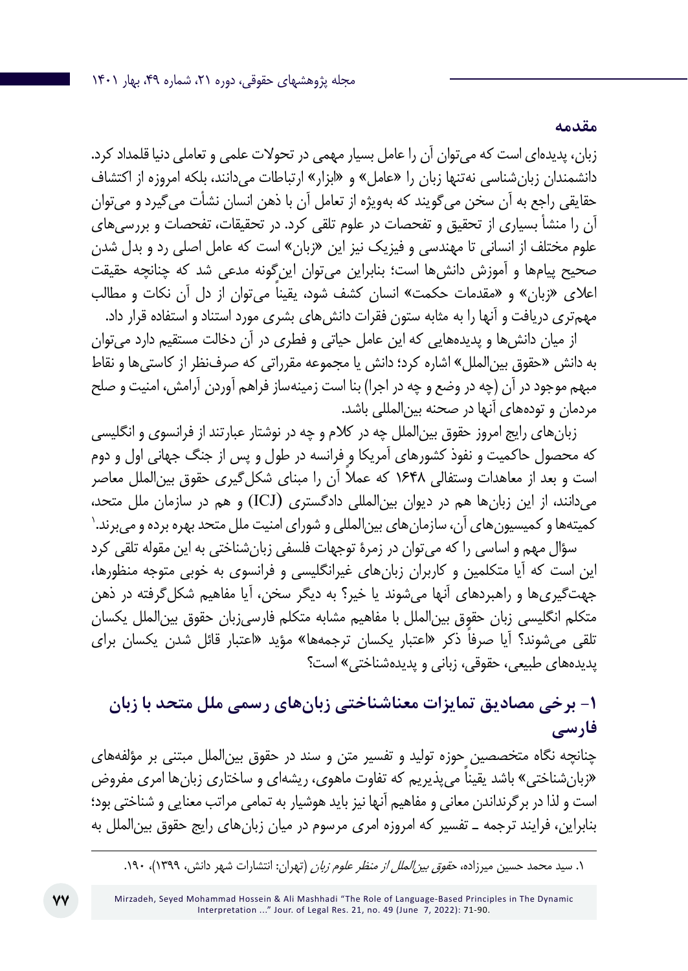زبان، پدیدهای است که میتوان آن را عامل بسیار مهمی در تحوالت علمی و تعاملی دنیا قلمداد کرد. دانشمندان زبان شناسی نهتنها زبان را «عامل» و «ابزار» ارتباطات می دانند، بلکه امروزه از اکتشاف حقایقی راجع به آن سخن میگویند که بهویژه از تعامل آن با ذهن انسان نشأت میگیرد و میتوان آن را منشأ بسیاری از تحقیق و تفحصات در علوم تلقی کرد. در تحقیقات، تفحصات و بررسیهای علوم مختلف از انسانی تا مهندسی و فیزیک نیز این »زبان« است که عامل اصلی رد و بدل شدن صحیح پیامها و آموزش دانشها است؛ بنابراین میتوان اینگونه مدعی شد که چنانچه حقیقت ً اعالی »زبان« و »مقدمات حکمت« انسان کشف شود، یقینا میتوان از دل آن نکات و مطالب مهمتری دریافت و آنها را به مثابه ستون فقرات دانشهای بشری مورد استناد و استفاده قرار داد.

**مقدمه**

از میان دانشها و پدیدههایی که این عامل حیاتی و فطری در آن دخالت مستقیم دارد میتوان به دانش »حقوق بینالملل« اشاره کرد؛ دانش یا مجموعه مقرراتی که صرفنظر از کاستیها و نقاط مبهم موجود در آن (چه در وضع و چه در اجرا) بنا است زمینهساز فراهم آوردن آرامش، امنیت و صلح مردمان و تودههای آنها در صحنه بینالمللی باشد.

زبانهای رایج امروز حقوق بینالملل چه در کالم و چه در نوشتار عبارتند از فرانسوی و انگلیسی که محصول حاکمیت و نفوذ کشورهای آمریکا و فرانسه در طول و پس از جنگ جهانی اول و دوم است و بعد از معاهدات وستفالی 1648 ً که عمال آن را مبنای شکلگیری حقوق بینالملل معاصر 1 میدانند، از این زبانها هم در دیوان بینالمللی دادگستری (ICJ (و هم در سازمان ملل متحد، کمیتهها و کمیسیونهای آن، سازمانهای بینالمللی و شورای امنیت ملل متحد بهره برده و میبرند.

سؤال مهم و اساسی را که میتوان در زمرۀ توجهات فلسفی زبانشناختی به این مقوله تلقی کرد این است که آیا متکلمین و کاربران زبانهای غیرانگلیسی و فرانسوی به خوبی متوجه منظورها، جهتگیریها و راهبردهای آنها میشوند یا خیر؟ به دیگر سخن، آیا مفاهیم شکلگرفته در ذهن متکلم انگلیسی زبان حقوق بینالملل با مفاهیم مشابه متکلم فارسیزبان حقوق بینالملل یکسان تلقی می شوند؟ آیا صرفاً ذکر «اعتبار یکسان ترجمهها» مؤید «اعتبار قائل شدن یکسان برای پدیدههای طبیعی، حقوقی، زبانی و پدیدهشناختی« است؟

## **-1 برخی مصادیق تمایزات معناشناختی زبانهای رسمی ملل متحد با زبان فارسی**

چنانچه نگاه متخصصین حوزه تولید و تفسیر متن و سند در حقوق بینالملل مبتنی بر مؤلفههای «زبان شناختی» باشد یقینا می پذیریم که تفاوت ماهوی، ریشهای و ساختاری زبانها امری مفروض است و لذا در برگرنداندن معانی و مفاهیم آنها نیز باید هوشیار به تمامی مراتب معنایی و شناختی بود؛ بنابراین، فرایند ترجمه ـ تفسیر که امروزه امری مرسوم در میان زبانهای رایج حقوق بینالملل به

<sup>.1</sup> سید محمد حسین میرزاده، حقوق بینالملل از منظر علوم زبان )تهران: انتشارات شهر دانش، 1399(، .190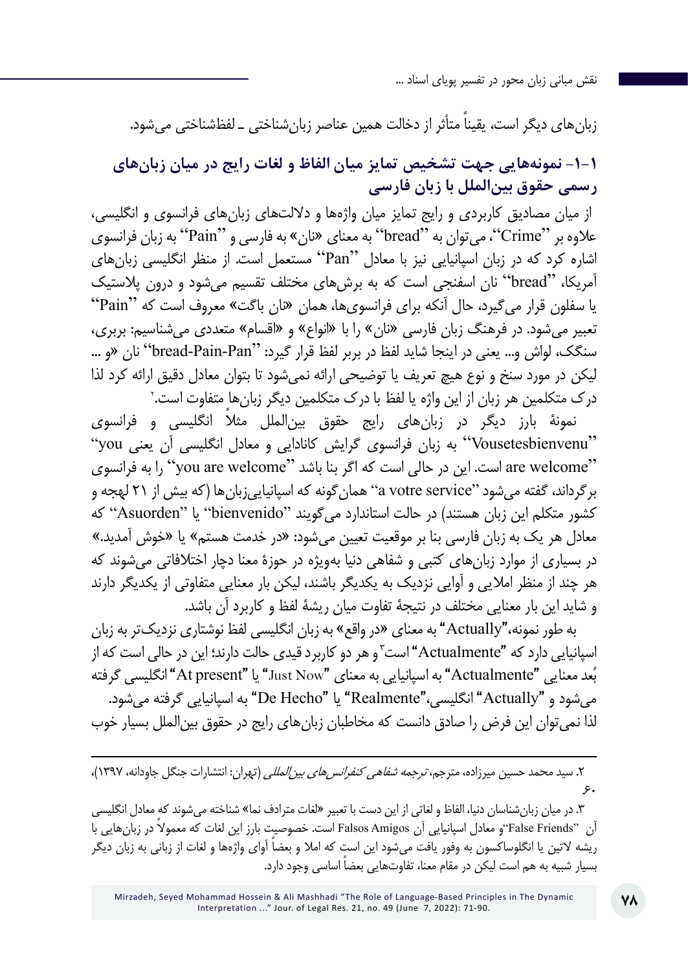زبان های دیگر است، یقیناً متأثر از دخالت همین عناصر زبان شناختی ـ لفظشناختی می شود.

**-1-1 نمونههایی جهت تشخیص تمایز میان الفاظ و لغات رایج در میان زبانهای رسمی حقوق بینالملل با زبان فارسی**

 از میان مصادیق کاربردی و رایج تمایز میان واژهها و داللتهای زبانهای فرانسوی و انگلیسی، عالوه بر "Crime"، میتوان به "bread "به معنای »نان« به فارسی و "Pain "به زبان فرانسوی اشاره کرد که در زبان اسپانیایی نیز با معادل "Pan "مستعمل است. از منظر انگلیسی زبانهای آمریکا، "bread "نان اسفنجی است که به برشهای مختلف تقسیم میشود و درون پالستیک یا سفلون قرار میگیرد، حال آنکه برای فرانسویها، همان »نان باگت« معروف است که "Pain" تعبیر میشود. در فرهنگ زبان فارسی »نان« را با »انواع« و »اقسام« متعددی میشناسیم: بربری، سنگک، لواش و... یعنی در اینجا شاید لفظ در بربر لفظ قرار گیرد: "bread-Pain-Pan" نان «و ... 2 لیکن در مورد سنخ و نوع هیچ تعریف یا توضیحی ارائه نمیشود تا بتوان معادل دقیق ارائه کرد لذا درک متکلمین هر زبان از این واژه یا لفظ با درک متکلمین دیگر زبانها متفاوت است.

نمونۀ بارز دیگر در زبانهای رایج حقوق بین|لملل مثلاً انگلیسی و فرانسوی "Vousetesbienvenu "به زبان فرانسوی گرایش کانادایی و معادل انگلیسی آن یعنی you" are welcome" است. این در حالی است که اگر بنا باشد "you are welcome" را به فرانسوی برگرداند، گفته میشود "service votre a "همانگونه که اسپانیاییزبانها )که بیش از ۲۱ لهجه و کشور متکلم این زبان هستند) در حالت استاندارد می گویند "bienvenido" یا "Asuorden" که معادل هر یک به زبان فارسی بنا بر موقعیت تعیین می شود: «در خدمت هستم» یا «خوش آمدید.» در بسیاری از موارد زبانهای کتبی و شفاهی دنیا بهویژه در حوزۀ معنا دچار اختالفاتی میشوند که هر چند از منظر امالیی و آوایی نزدیک به یکدیگر باشند، لیکن بار معنایی متفاوتی از یکدیگر دارند و شاید این بار معنایی مختلف در نتیجۀ تفاوت میان ریشۀ لفظ و کاربرد آن باشد.

به طور نمونه،"Actually "به معنای »در واقع« به زبان انگلیسی لفظ نوشتاری نزدیکتر به زبان اسپانیایی دارد که "Actualmente" است<sup>۳</sup>و هر دو کاربرد قیدی حالت دارند؛ این در حالی است که از ُعد معنایی "Actualmente "به اسپانیایی به معنای "Now Just "یا "present At "انگلیسی گرفته ب میشود و "Actually "انگلیسی،"Realmente "یا "Hecho De "به اسپانیایی گرفته میشود. لذا نمیتوان این فرض را صادق دانست که مخاطبان زبانهای رایج در حقوق بینالملل بسیار خوب

.2 سید محمد حسین میرزاده، مترجم، ترجمه شفاهی کنفرانسهای بینالمللی )تهران: انتشارات جنگل جاودانه، 1397(،  $\mathcal{S}$ .

.3 در میان زبانشناسان دنیا، الفاظ و لغاتی از این دست با تعبیر »لغات مترادف نما« شناخته میشوند که معادل انگلیسی آن "Friends False"و معادل اسپانیایی آن Amigos Falsos ً است. خصوصیت بارز این لغات که معموال در زبانهایی با ریشه التین یا انگلوساکسون به وفور یافت می ً شود این است که امال و بعضا آوای واژهها و لغات از زبانی به زبان دیگر بسیار شبیه به هم است لیکن در مقام معنا، تفاوتهایی بعضاً اساسی وجود دارد.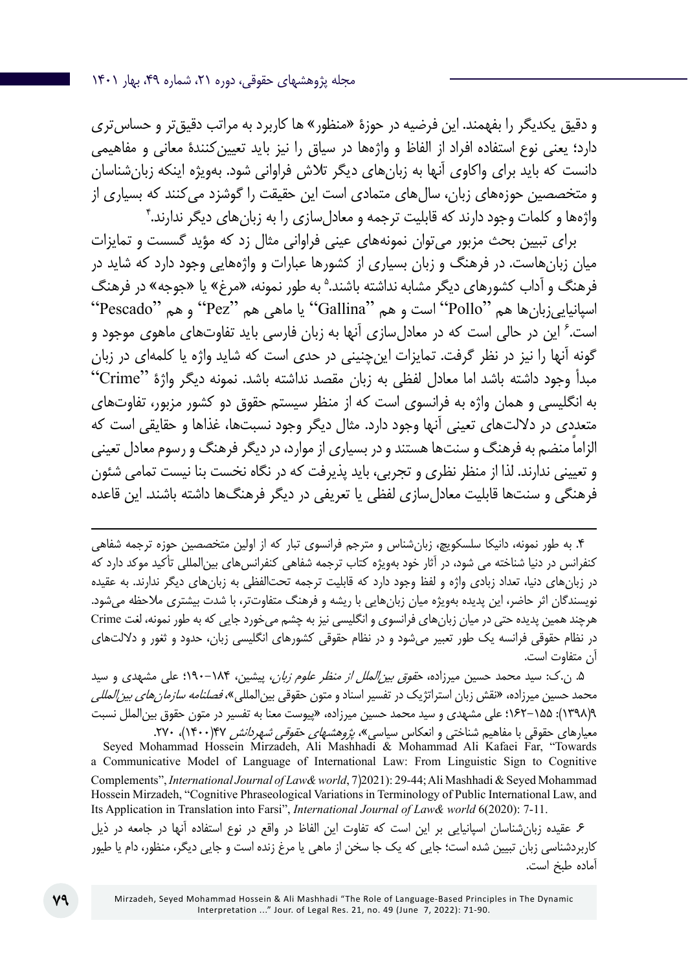و دقیق یکدیگر را بفهمند. این فرضیه در حوزۀ »منظور« ها کاربرد به مراتب دقیقتر و حساستری دارد؛ یعنی نوع استفاده افراد از الفاظ و واژهها در سیاق را نیز باید تعیینکنندۀ معانی و مفاهیمی دانست که باید برای واکاوی آنها به زبانهای دیگر تالش فراوانی شود. بهویژه اینکه زبانشناسان و متخصصین حوزههای زبان، سالهای متمادی است این حقیقت را گوشزد میکنند که بسیاری از 4 واژهها و کلمات وجود دارند که قابلیت ترجمه و معادلسازی را به زبانهای دیگر ندارند.

برای تبیین بحث مزبور میتوان نمونههای عینی فراوانی مثال زد که مؤید گسست و تمایزات میان زبانهاست. در فرهنگ و زبان بسیاری از کشورها عبارات و واژههایی وجود دارد که شاید در فرهنگ و آداب کشورهای دیگر مشابه نداشته باشند.<sup>ه</sup> به طور نمونه، «مرغ» یا «جوجه» در فرهنگ اسپانیاییزبانها هم "Pollo "است و هم "Gallina "یا ماهی هم "Pez "و هم "Pescado" 6 این در حالی است که در معادلسازی آنها به زبان فارسی باید تفاوتهای ماهوی موجود و است. گونه آنها را نیز در نظر گرفت. تمایزات اینچنینی در حدی است که شاید واژه یا کلمهای در زبان مبدأ وجود داشته باشد اما معادل لفظی به زبان مقصد نداشته باشد. نمونه دیگر واژۀ "Crime" به انگلیسی و همان واژه به فرانسوی است که از منظر سیستم حقوق دو کشور مزبور، تفاوتهای متعددی در داللتهای تعینی آنها وجود دارد. مثال دیگر وجود نسبتها، غذاها و حقایقی است که ً الزاما منضم به فرهنگ و سنتها هستند و در بسیاری از موارد، در دیگر فرهنگ و رسوم معادل تعینی و تعیینی ندارند. لذا از منظر نظری و تجربی، باید پذیرفت که در نگاه نخست بنا نیست تمامی شئون فرهنگی و سنتها قابلیت معادلسازی لفظی یا تعریفی در دیگر فرهنگها داشته باشند. این قاعده

.4 به طور نمونه، دانیکا سلسکویچ، زبانشناس و مترجم فرانسوی تبار که از اولین متخصصین حوزه ترجمه شفاهی کنفرانس در دنیا شناخته می شود، در آثار خود بهویژه کتاب ترجمه شفاهی کنفرانسهای بینالمللی تأکید موکد دارد که در زبانهای دنیا، تعداد زبادی واژه و لفظ وجود دارد که قابلیت ترجمه تحتالفظی به زبانهای دیگر ندارند. به عقیده نویسندگان اثر حاضر، این پدیده بهویژه میان زبانهایی با ریشه و فرهنگ متفاوتتر، با شدت بیشتری مالحظه میشود. هرچند همین پدیده حتی در میان زبانهای فرانسوی و انگلیسی نیز به چشم میخورد جایی که به طور نمونه، لغت Crime در نظام حقوقی فرانسه یک طور تعبیر میشود و در نظام حقوقی کشورهای انگلیسی زبان، حدود و ثغور و داللتهای آن متفاوت است.

.5 ن.ک: سید محمد حسین میرزاده، حقوق بینالملل از منظر علوم زبان، پیشین، 190-184؛ علي مشهدی و سيد محمد حسين ميرزاده، «نقش زبان استراتژيک در تفسير اسناد و متون حقوقي بين|لمللي»، *فصلنامه سازمان هاي بين|لمللي* 9)1398(: 162-155؛ علی مشهدی و سيد محمد حسين ميرزاده، »پيوست معنا به تفسير در متون حقوق بينالملل نسبت معيارهای حقوقی با مفاهيم شناختی و انعکاس سياسی»، *پژوهشهای حقوقی شهردانش ۲*۲۷۰)(» .۲۷۰<br>Seyed Mohammad Hossein Mirzadeh, Ali Mashhadi & Mohammad Ali Kafaei Far, "Towards

a Communicative Model of Language of International Law: From Linguistic Sign to Cognitive Complements", *International Journal of Law& world*, 7)2021): 29-44; Ali Mashhadi & Seyed Mohammad Hossein Mirzadeh, "Cognitive Phraseological Variations in Terminology of Public International Law, and Its Application in Translation into Farsi", *International Journal of Law& world* 6(2020): 7-11.

.6 عقیده زبانشناسان اسپانیایی بر این است که تفاوت این الفاظ در واقع در نوع استفاده آنها در جامعه در ذیل کاربردشناسی زبان تبیین شده است؛ جایی که یک جا سخن از ماهی یا مرغ زنده است و جایی دیگر، منظور، دام یا طیور آماده طبخ است.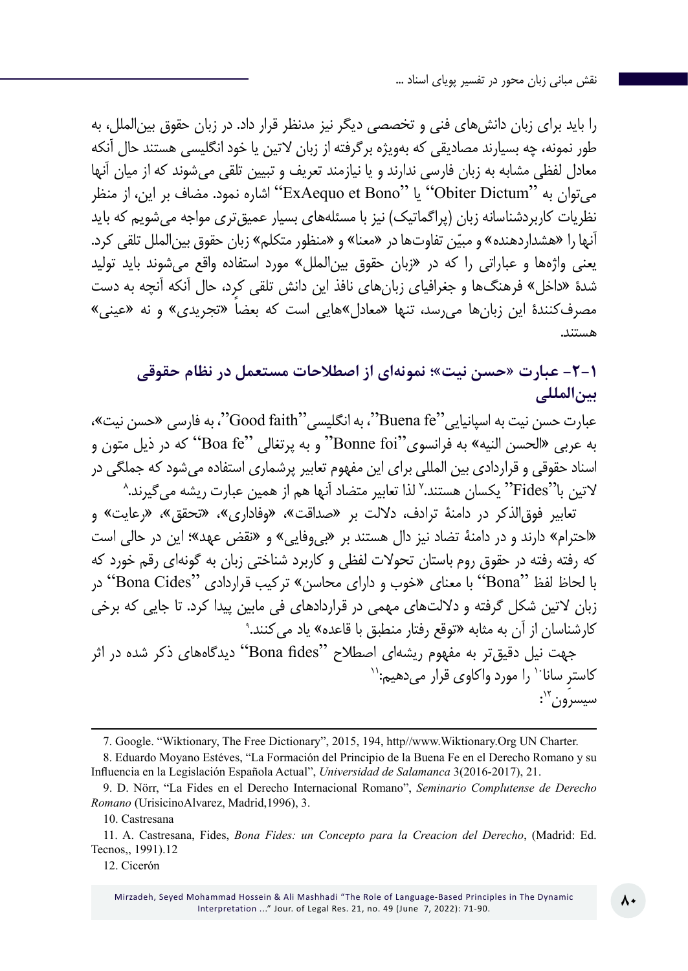را باید برای زبان دانشهای فنی و تخصصی دیگر نیز مدنظر قرار داد. در زبان حقوق بینالملل، به طور نمونه، چه بسیارند مصادیقی که بهویژه برگرفته از زبان لاتین یا خود انگلیسی هستند حال آنکه معادل لفظی مشابه به زبان فارسی ندارند و یا نیازمند تعریف و تبیین تلقی میشوند که از میان آنها میتوان به "Dictum Obiter "یا "Bono et ExAequo "اشاره نمود. مضاف بر این، از منظر نظریات کاربردشناسانه زبان (پراگماتیک) نیز با مسئلههای بسیار عمیقتری مواجه می شویم که باید أنها را «هشداردهنده» و مبیّن تفاوتها در «معنا» و «منظور متکلم» زبان حقوق بین|لملل تلقی کرد. یعنی واژهها و عباراتی را که در »زبان حقوق بینالملل« مورد استفاده واقع میشوند باید تولید شدۀ »داخل« فرهنگها و جغرافیای زبانهای نافذ این دانش تلقی کرد، حال آنکه آنچه به دست مصرفکنندۀ این زبانها می رسد، تنها «معادل»هایی است که بعضا «تجریدی» و نه «عینی» هستند.

### **-2-1 عبارت »حسن نیت«؛ نمونهای از اصطالحات مستعمل در نظام حقوقی بینالمللی**

عبارت حسن نیت به اسپانیایی ''Buena fe''، به انگلیسی ''Good faith''، به فارسی «حسن نیت»، به عربی »الحسن النیه« به فرانسوی"foi Bonne "و به پرتغالی "fe Boa "که در ذیل متون و 8 اسناد حقوقی و قراردادی بین المللی برای این مفهوم تعابیر پرشماری استفاده میشود که جملگی در لاتین با"Fides" یکسان هستند." لذا تعابیر متضاد آنها هم از همین عبارت ریشه میگیرند.

تعابیر فوقالذکر در دامنۀ ترادف، داللت بر »صداقت«، »وفاداری«، »تحقق«، »رعایت« و «احترام» دارند و در دامنۀ تضاد نیز دال هستند بر «بی وفایی» و «نقض عهد»؛ این در حالی است که رفته رفته در حقوق روم باستان تحوالت لفظی و کاربرد شناختی زبان به گونهای رقم خورد که با لحاظ لفظ "Bona "با معنای »خوب و دارای محاسن« ترکیب قراردادی "Cides Bona "در 9 زبان التین شکل گرفته و داللتهای مهمی در قراردادهای فی مابین پیدا کرد. تا جایی که برخی کارشناسان از آن به مثابه »توقع رفتار منطبق با قاعده« یاد میکنند.

جِهت نیل دقیقتر به مفهوم ریشهای اصطلاح "Bona fides" دیدگاههای ذکر شده در اثر<br>کاستر سانا<sup>۱۰</sup> را مورد واکاوی قرار میدهیم:`` : سیسرون":

10. Castresana

12. Cicerón

<sup>7.</sup> Google. "Wiktionary, The Free Dictionary", 2015, 194, http//www.Wiktionary.Org UN Charter.

<sup>8.</sup> Eduardo Moyano Estéves, "La Formación del Principio de la Buena Fe en el Derecho Romano y su Influencia en la Legislación Española Actual", *Universidad de Salamanca* 3(2016-2017), 21.

<sup>9.</sup> D. Nörr, "La Fides en el Derecho Internacional Romano", *Seminario Complutense de Derecho Romano* (UrisicinoAlvarez, Madrid,1996), 3.

<sup>11.</sup> A. Castresana, Fides, *Bona Fides: un Concepto para la Creacion del Derecho*, (Madrid: Ed. Tecnos,, 1991).12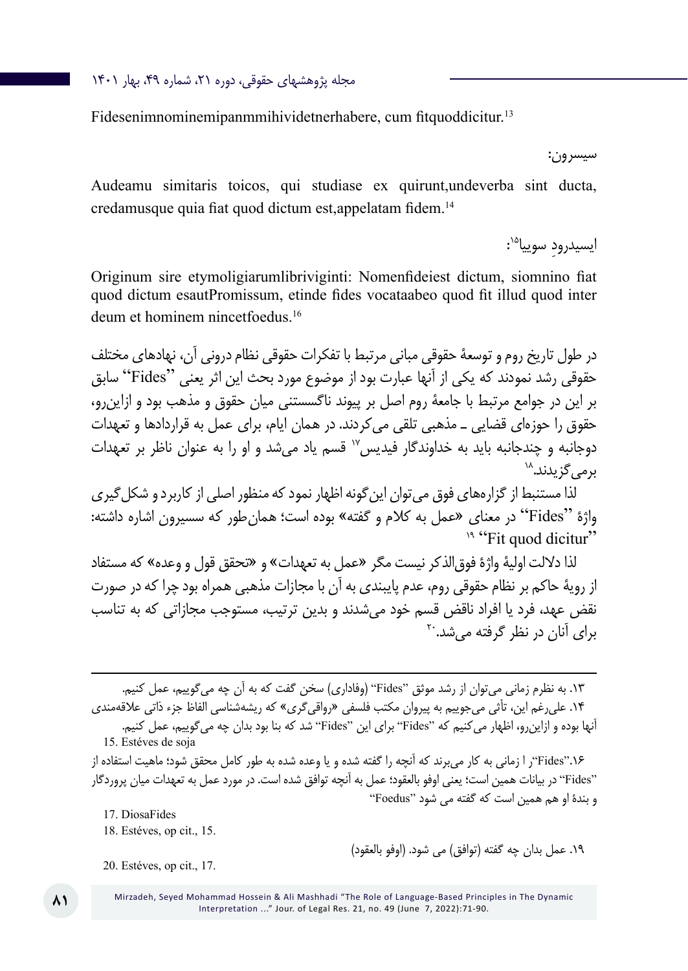مجله پژوهشهای حقوقی، دوره ،21 شماره ،49 بهار 1401

Fidesenimnominemipanmmihividetnerhabere, cum fitquoddicitur.<sup>13</sup>

سیسرون:

Audeamu simitaris toicos, qui studiase ex quirunt,undeverba sint ducta, credamusque quia fiat quod dictum est,appelatam fidem.<sup>14</sup>

> : ایسیدرود سوییا<sup>۱۵</sup>:

Originum sire etymoligiarumlibriviginti: Nomenfideiest dictum, siomnino fiat quod dictum esautPromissum, etinde fides vocataabeo quod fit illud quod inter deum et hominem nincetfoedus.16

در طول تاریخ روم و توسعۀ حقوقی مبانی مرتبط با تفکرات حقوقی نظام درونی آن، نهادهای مختلف حقوقی رشد نمودند که یکی از آنها عبارت بود از موضوع مورد بحث این اثر یعنی "Fides "سابق بر این در جوامع مرتبط با جامعۀ روم اصل بر پیوند ناگسستنی میان حقوق و مذهب بود و ازاینرو، حقوق را حوزهای قضایی ـ مذهبی تلقی میکردند. در همان ایام، برای عمل به قراردادها و تعهدات دوجانبه و چندجانبه باید به خداوندگار فیدیس17 قسم یاد میشد و او را به عنوان ناظر بر تعهدات برم*ی گ*زیدند.^<sup>\</sup>

لذا مستنبط از گزارههای فوق میتوان اینگونه اظهار نمود که منظور اصلی از کاربرد و شکلگیری واژۀ "Fides" در معنای «عمل به کلام و گفته» بوده است؛ همانطور که سسیرون اشاره داشته:<br>"Fit auod dicitur؟ <sup>۱۹</sup>

لذا داللت اولیۀ واژۀ فوقالذکر نیست مگر »عمل به تعهدات« و »تحقق قول و وعده« که مستفاد از رویۀ حاکم بر نظام حقوقی روم، عدم پایبندی به آن با مجازات مذهبی همراه بود چرا که در صورت نقض عهد، فرد یا افراد ناقض قسم خود میشدند و بدین ترتیب، مستوجب مجازاتی که به تناسب برای آنان در نظر گرفته م*ی شد*.<sup>۲۰</sup>

.13 به نظرم زمانی میتوان از رشد موثق "Fides( "وفاداری( سخن گفت که به آن چه میگوییم، عمل کنیم. .14 علیرغم این، تأثی میجوییم به پیروان مکتب فلسفی »رواقیگری« که ریشهشناسی الفاظ جزء ذاتی عالقهمندی آنها بوده و ازاینرو، اظهار میکنیم که "Fides "برای این "Fides "شد که بنا بود بدان چه میگوییم، عمل کنیم. 15. Estéves de soja

.16"Fides"ر ا زمانی به کار میبرند که آنچه را گفته شده و یا وعده شده به طور کامل محقق شود؛ ماهیت استفاده از "Fides "در بیانات همین است؛ یعنی اوفو بالعقود؛ عمل به آنچه توافق شده است. در مورد عمل به تعهدات میان پروردگار و بندۀ او هم همین است که گفته می شود "Foedus"

17. DiosaFides

18. Estéves, op cit., 15.

١٩. عمل بدان چه گفته (توافق) می شود. (اوفو بالعقود)

<sup>20.</sup> Estéves, op cit., 17.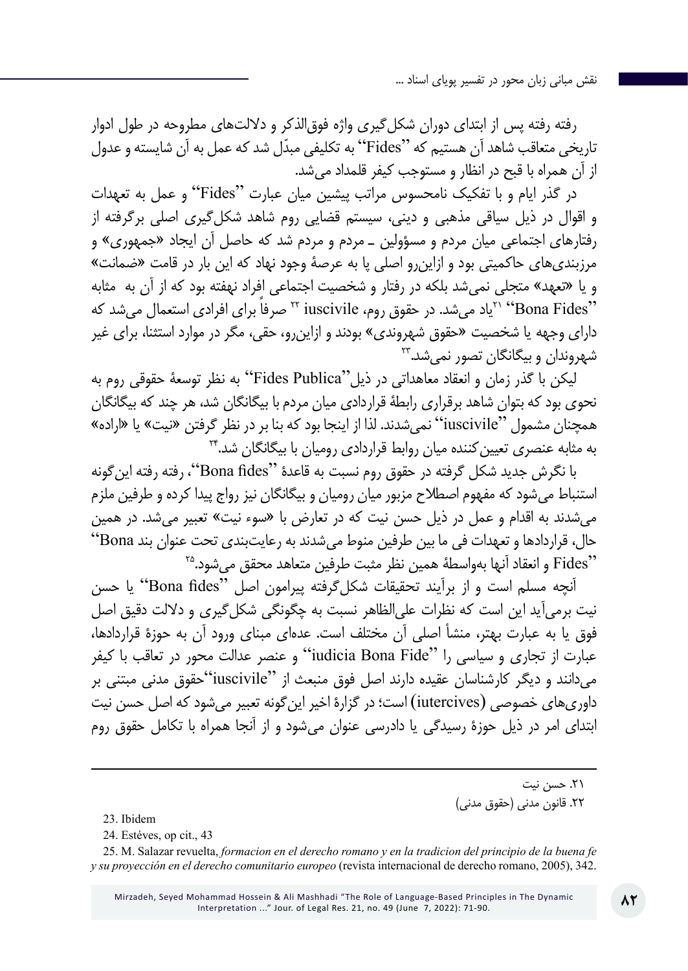رفته رفته پس از ابتدای دوران شکلگیری واژه فوقالذکر و داللتهای مطروحه در طول ادوار تاریخی متعاقب شاهد آن هستیم که "Fides "ّ به تکلیفی مبدل شد که عمل به آن شایسته و عدول از آن همراه با قبح در انظار و مستوجب کیفر قلمداد میشد.

در گذر ایام و با تفکیک نامحسوس مراتب پیشین میان عبارت "Fides "و عمل به تعهدات و اقوال در ذیل سیاقی مذهبی و دینی، سیستم قضایی روم شاهد شکلگیری اصلی برگرفته از رفتارهای اجتماعی میان مردم و مسؤولین ـ مردم و مردم شد که حاصل آن ایجاد »جمهوری« و مرزبندیهای حاکمیتی بود و ازاینرو اصلی پا به عرصۀ وجود نهاد که این بار در قامت »ضمانت« و یا »تعهد« متجلی نمیشد بلکه در رفتار و شخصیت اجتماعی افراد نهفته بود که از آن به مثابه "Fides Bona "21یاد میشد. در حقوق روم، iuscivile <sup>22</sup> ً صرفا برای افرادی استعمال میشد که دارای وجهه یا شخصیت «حقوق شهروندی» بودند و ازاین٫رو، حقی، مگر در موارد استثنا، برای غیر شهروندان و بیگانگان تصور نمیشد23.

لیکن با گذر زمان و انعقاد معاهداتی در ذیل"Publica Fides "به نظر توسعۀ حقوقی روم به نحوی بود که بتوان شاهد برقراری رابطۀ قراردادی میان مردم با بیگانگان شد، هر چند که بیگانگان همچنان مشمول "iuscivile" نمی شدند. لذا از اینجا بود که بنا بر در نظر گرفتن «نیت» یا «اراده» به مثابه عنصری تعیین کننده میان روابط قراردادی رومیان با بیگانگان شد.\*۲

با نگرش جدید شکل گرفته در حقوق روم نسبت به قاعدۀ "fides Bona"، رفته رفته اینگونه استنباط میشود که مفهوم اصطالح مزبور میان رومیان و بیگانگان نیز رواج پیدا کرده و طرفین ملزم میشدند به اقدام و عمل در ذیل حسن نیت که در تعارض با »سوء نیت« تعبیر میشد. در همین حال، قراردادها و تعهدات فی ما بین طرفین منوط میشدند به رعایتبندی تحت عنوان بند Bona" "Fides و انعقاد آنها بهواسطۀ همین نظر مثبت طرفین متعاهد محقق میشود25.

آنچه مسلم است و از برآیند تحقیقات شکلگرفته پیرامون اصل "fides Bona "یا حسن نیت برمیآید این است که نظرات علیالظاهر نسبت به چگونگی شکلگیری و داللت دقیق اصل فوق یا به عبارت بهتر، منشأ اصلی آن مختلف است. عدهای مبنای ورود آن به حوزۀ قراردادها، عبارت از تجاری و سیاسی را "Fide Bona iudicia "و عنصر عدالت محور در تعاقب با کیفر میدانند و دیگر کارشناسان عقیده دارند اصل فوق منبعث از "iuscivile"حقوق مدنی مبتنی بر داوریهای خصوصی (iutercives (است؛ در گزارۀ اخیر اینگونه تعبیر میشود که اصل حسن نیت ابتدای امر در ذیل حوزۀ رسیدگی یا دادرسی عنوان میشود و از آنجا همراه با تکامل حقوق روم

> .21 حسن نیت ٢٢. قانون مدنی (حقوق مدنی)

23. Ibidem

24. Estéves, op cit., 43

25. M. Salazar revuelta, *formacion en el derecho romano y en la tradicion del principio de la buena fe y su proyección en el derecho comunitario europeo* (revista internacional de derecho romano, 2005), 342.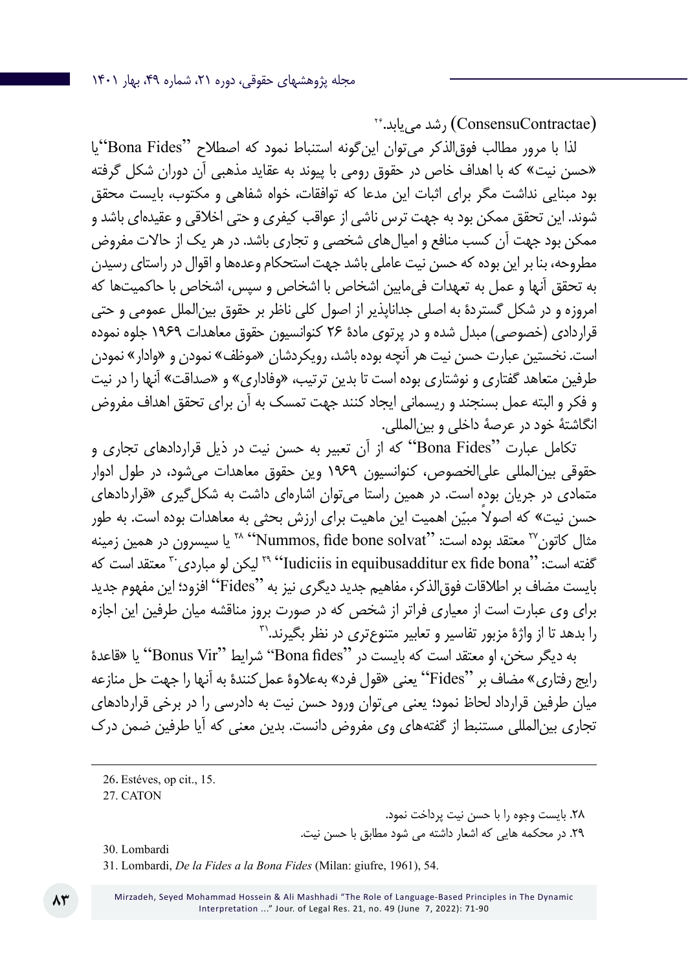$\mathcal{C}^*$ شد می $\mathcal{C}$ onsensuContractae) (شد می

لذا با مرور مطالب فوقالذکر میتوان اینگونه استنباط نمود که اصطالح "Fides Bona"یا »حسن نیت« که با اهداف خاص در حقوق رومی با پیوند به عقاید مذهبی آن دوران شکل گرفته بود مبنایی نداشت مگر برای اثبات این مدعا که توافقات، خواه شفاهی و مکتوب، بایست محقق شوند. این تحقق ممکن بود به جهت ترس ناشی از عواقب کیفری و حتی اخالقی و عقیدهای باشد و ممکن بود جهت آن کسب منافع و امیالهای شخصی و تجاری باشد. در هر یک از حاالت مفروض مطروحه، بنا بر این بوده که حسن نیت عاملی باشد جهت استحکام وعدهها و اقوال در راستای رسیدن به تحقق آنها و عمل به تعهدات فیمابین اشخاص با اشخاص و سپس، اشخاص با حاکمیتها که امروزه و در شکل گستردۀ به اصلی جداناپذیر از اصول کلی ناظر بر حقوق بینالملل عمومی و حتی قراردادی )خصوصی( مبدل شده و در پرتوی مادۀ ۲۶ کنوانسیون حقوق معاهدات 1969 جلوه نموده است. نخستین عبارت حسن نیت هر آنچه بوده باشد، رویکردشان «موظف» نمودن و «وادار» نمودن طرفین متعاهد گفتاری و نوشتاری بوده است تا بدین ترتیب، »وفاداری« و »صداقت« آنها را در نیت و فکر و البته عمل بسنجند و ریسمانی ایجاد کنند جهت تمسک به آن برای تحقق اهداف مفروض انگاشتۀ خود در عرصۀ داخلی و بینالمللی.

تکامل عبارت "Bona Fides" که از آن تعبیر به حسن نیت در ذیل قراردادهای تجاری و حقوقی بینالمللی علیالخصوص، کنوانسیون 1969 وین حقوق معاهدات میشود، در طول ادوار متمادی در جریان بوده است. در همین راستا میتوان اشارهای داشت به شکلگیری »قراردادهای حسن نیت» که اصولاً مبیّن اهمیت این ماهیت برای ارزش بحثی به معاهدات بوده است. به طور مثال کاتون<sup>7۲</sup> معتقد بوده است: ''Nummos, fide bone solvat'<sup>'' یا</sup> سیسرون در همین زمینه گفته است: "Iudiciis in equibusadditur ex fide bona" لیکن لو مباردی<sup>۳۰</sup> معتقد است که بایست مضاف بر اطالقات فوقالذکر، مفاهیم جدید دیگری نیز به "Fides "افزود؛ این مفهوم جدید برای وی عبارت است از معیاری فراتر از شخص که در صورت بروز مناقشه میان طرفین این اجازه را بدهد تا از واژۀ مزبور تفاسیر و تعابیر متنوعتری در نظر بگیرند31.

به دیگر سخن، او معتقد است که بایست در "Bona fides" شرایط "Bonus Vir" یا «قاعدۀ رایج رفتاری« مضاف بر "Fides "یعنی »قول فرد« بهعالوۀ عملکنندۀ به آنها را جهت حل منازعه میان طرفین قرارداد لحاظ نمود؛ یعنی میتوان ورود حسن نیت به دادرسی را در برخی قراردادهای تجاری بینالمللی مستنبط از گفتههای وی مفروض دانست. بدین معنی که آیا طرفین ضمن درک

.28 بایست وجوه را با حسن نیت پرداخت نمود. .29 در محکمه هایی که اشعار داشته می شود مطابق با حسن نیت.

30. Lombardi

31. Lombardi, *De la Fides a la Bona Fides* (Milan: giufre, 1961), 54.

<sup>26</sup>. Estéves, op cit., 15.

<sup>27</sup>. CATON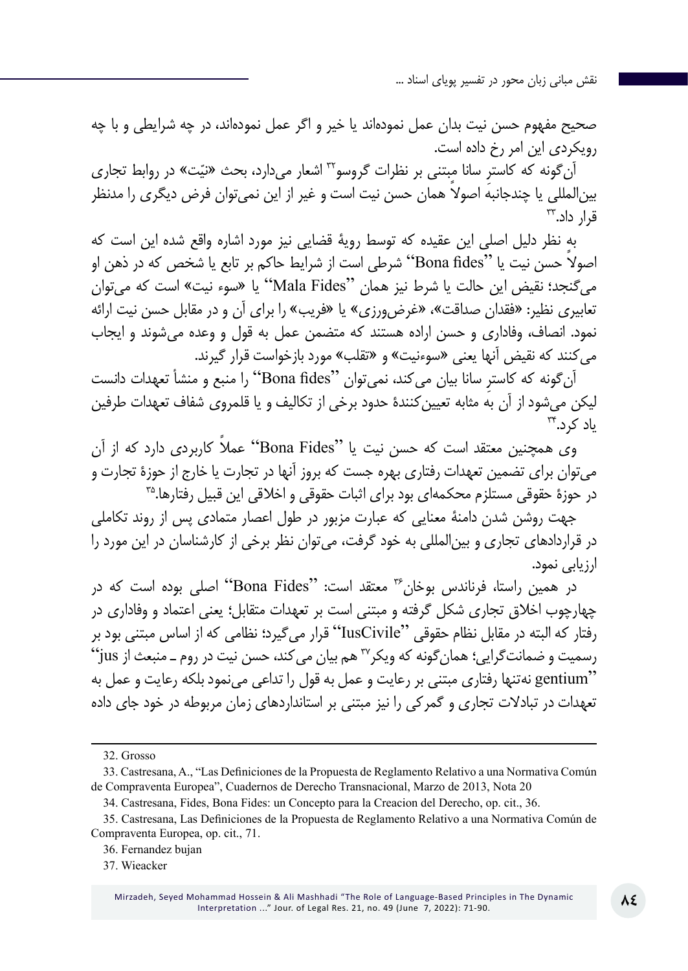صحیح مفهوم حسن نیت بدان عمل نمودهاند یا خیر و اگر عمل نمودهاند، در چه شرایطی و با چه رویکردی این امر رخ داده است.

آن گونه که کاسترِ سانا مبتنی بر نظرات گروسو™ اشعار میدارد، بحث «نیّت» در روابط تجاری بین ً المللی یا چندجانبه اصوال همان حسن نیت است و غیر از این نمیتوان فرض دیگری را مدنظر  $\mathbb{R}$ قال داد.

به نظر دلیل اصلی این عقیده که توسط رویۀ قضایی نیز مورد اشاره واقع شده این است که ً اصوال حسن نیت یا "fides Bona "شرطی است از شرایط حاکم بر تابع یا شخص که در ذهن او میگنجد؛ نقیض این حالت یا شرط نیز همان "Fides Mala "یا »سوء نیت« است که میتوان تعابیری نظیر: «فقدان صداقت»، «غرض ورزی» یا «فریب» را برای آن و در مقابل حسن نیت ارائه نمود. انصاف، وفاداری و حسن اراده هستند که متضمن عمل به قول و وعده میشوند و ایجاب میکنند که نقیض آنها یعنی »سوءنیت« و »تقلب« مورد بازخواست قرار گیرند.

آن ِ گونه که کاستر سانا بیان میکند، نمیتوان "fides Bona "را منبع و منشأ تعهدات دانست لیکن میشود از آن به مثابه تعیینکنندۀ حدود برخی از تکالیف و یا قلمروی شفاف تعهدات طرفین  $r_{\rm t}$ یاد کرد.

وی همچنین معتقد است که حسن نیت یا "Fides Bona "ً عمال کاربردی دارد که از آن میتوان برای تضمین تعهدات رفتاری بهره جست که بروز آنها در تجارت یا خارج از حوزۀ تجارت و در حوزۀ حقوقی مستلزم محکمهای بود برای اثبات حقوقی و اخلاقی این قبیل رفتارها.<sup>۳۵</sup>

جهت روشن شدن دامنۀ معنایی که عبارت مزبور در طول اعصار متمادی پس از روند تکاملی در قراردادهای تجاری و بینالمللی به خود گرفت، میتوان نظر برخی از کارشناسان در این مورد را ارزیابی نمود.

در همین راستا، فرناندس بوخان<sup>۳۶</sup> معتقد است: "Bona Fides" اصلی بوده است که در چهارچوب اخالق تجاری شکل گرفته و مبتنی است بر تعهدات متقابل؛ یعنی اعتماد و وفاداری در رفتار که البته در مقابل نظام حقوقی "IusCivile "قرار میگیرد؛ نظامی که از اساس مبتنی بود بر  $``j$ رسمیت و ضمانتگرایی؛ همان گونه که ویکر $^{\text{v}}$  هم بیان می کند، حسن نیت در روم ـ منبعث از  $j$ us "gentium نهتنها رفتاری مبتنی بر رعایت و عمل به قول را تداعی مینمود بلکه رعایت و عمل به تعهدات در تبادالت تجاری و گمرکی را نیز مبتنی بر استانداردهای زمان مربوطه در خود جای داده

<sup>32.</sup> Grosso

<sup>33.</sup> Castresana, A., "Las Definiciones de la Propuesta de Reglamento Relativo a una Normativa Común de Compraventa Europea", Cuadernos de Derecho Transnacional, Marzo de 2013, Nota 20

<sup>34.</sup> Castresana, Fides, Bona Fides: un Concepto para la Creacion del Derecho, op. cit., 36.

<sup>35.</sup> Castresana, Las Definiciones de la Propuesta de Reglamento Relativo a una Normativa Común de Compraventa Europea, op. cit., 71.

<sup>36</sup>. Fernandez bujan

<sup>37</sup>. Wieacker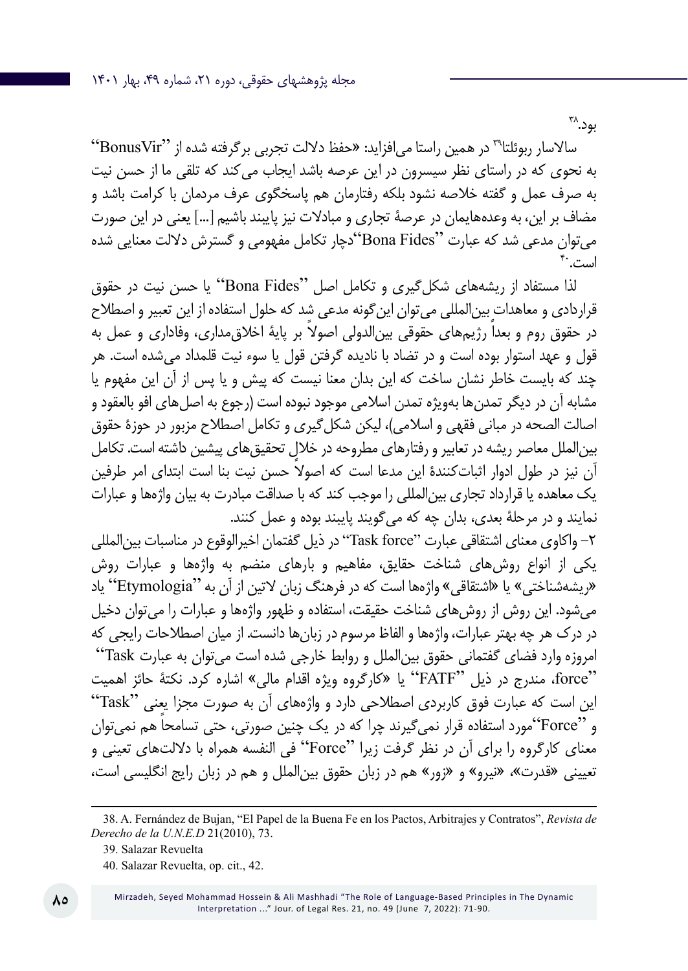بود.^۳

سالاسار ربوئلتا<sup>79</sup> در همین راستا میافزاید: «حفظ دلالت تجربی برگرفته شده از "BonusVir" به نحوی که در راستای نظر سیسرون در این عرصه باشد ایجاب میکند که تلقی ما از حسن نیت به صرف عمل و گفته خالصه نشود بلکه رفتارمان هم پاسخگوی عرف مردمان با کرامت باشد و مضاف بر این، به وعدههایمان در عرصۀ تجاری و مبادالت نیز پایبند باشیم ]...[ یعنی در این صورت میتوان مدعی شد که عبارت "Fides Bona"دچار تکامل مفهومی و گسترش داللت معنایی شده است. <sup>۴</sup>۰

لذا مستفاد از ریشههای شکل گیری و تکامل اصل "Bona Fides" یا حسن نیت در حقوق قراردادی و معاهدات بینالمللی میتوان اینگونه مدعی شد که حلول استفاده از این تعبیر و اصطالح در حقوق روم و بعداً رژیمهای حقوقی بین الدولی اصولاً بر پایۀ اخلاق مداری، وفاداری و عمل به قول و عهد استوار بوده است و در تضاد با نادیده گرفتن قول یا سوء نیت قلمداد میشده است. هر چند که بایست خاطر نشان ساخت که این بدان معنا نیست که پیش و یا پس از آن این مفهوم یا مشابه آن در دیگر تمدن ها بهویژه تمدن اسلامی موجود نبوده است (رجوع به اصل های افو بالعقود و اصالت الصحه در مبانی فقهی و اسالمی(، لیکن شکلگیری و تکامل اصطالح مزبور در حوزۀ حقوق بینالملل معاصر ریشه در تعابیر و رفتارهای مطروحه در خالل تحقیقهای پیشین داشته است. تکامل آن نیز در طول ادوار اثباتکنندۀ ً این مدعا است که اصوال حسن نیت بنا است ابتدای امر طرفین یک معاهده یا قرارداد تجاری بینالمللی را موجب کند که با صداقت مبادرت به بیان واژهها و عبارات نمایند و در مرحلۀ بعدی، بدان چه که میگویند پایبند بوده و عمل کنند.

-2 واکاوی معنای اشتقاقی عبارت "force Task "در ذیل گفتمان اخیرالوقوع در مناسبات بینالمللی یکی از انواع روشهای شناخت حقایق، مفاهیم و بارهای منضم به واژهها و عبارات روش »ریشهشناختی« یا »اشتقاقی« واژهها است که در فرهنگ زبان التین از آن به "Etymologia "یاد میشود. این روش از روشهای شناخت حقیقت، استفاده و ظهور واژهها و عبارات را میتوان دخیل در درک هر چه بهتر عبارات، واژهها و الفاظ مرسوم در زبانها دانست. از میان اصطالحات رایجی که امروزه وارد فضای گفتمانی حقوق بینالملل و روابط خارجی شده است میتوان به عبارت Task " "force، مندرج در ذیل "FATF "یا »کارگروه ویژه اقدام مالی« اشاره کرد. نکتۀ حائز اهمیت این است که عبارت فوق کاربردی اصطالحی دارد و واژههای آن به صورت مجزا یعنی "Task" و "Force"مورد استفاده قرار نمی ً گیرند چرا که در یک چنین صورتی، حتی تسامحا هم نمیتوان معنای کارگروه را برای آن در نظر گرفت زیرا "Force "فی النفسه همراه با داللتهای تعینی و تعیینی «قدرت»، «نیرو» و «زور» هم در زبان حقوق بین|لملل و هم در زبان رایج انگلیسی است،

<sup>38.</sup> A. Fernández de Bujan, "El Papel de la Buena Fe en los Pactos, Arbitrajes y Contratos", *Revista de Derecho de la U.N.E.D* 21(2010), 73.

<sup>39</sup>. Salazar Revuelta

<sup>40</sup>. Salazar Revuelta, op. cit., 42.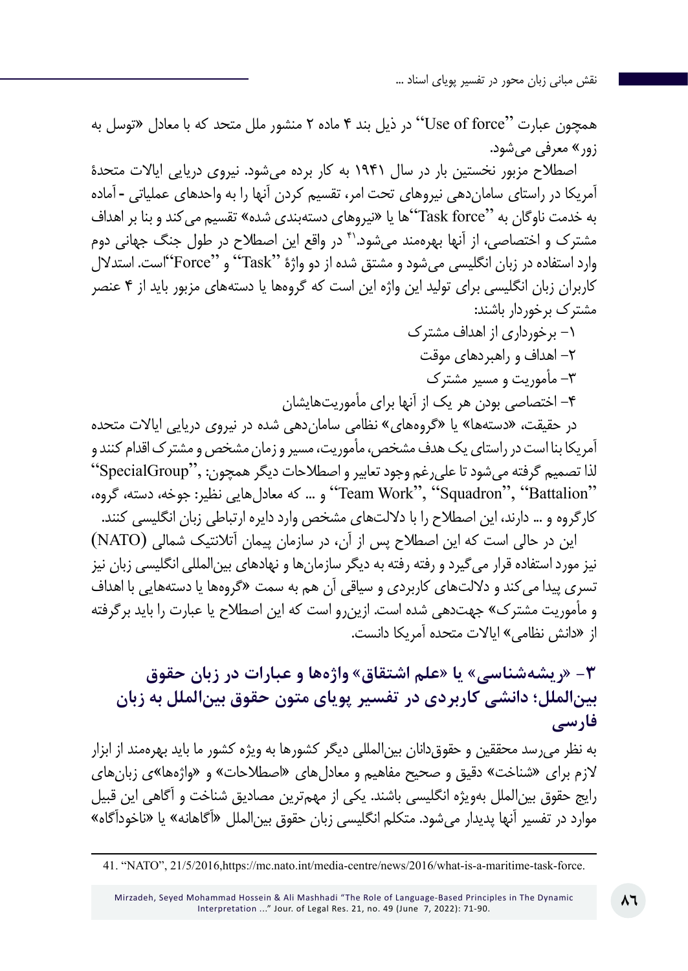همچون عبارت "force of Use "در ذیل بند 4 ماده 2 منشور ملل متحد که با معادل »توسل به زور« معرفی میشود.

اصطالح مزبور نخستین بار در سال 1941 به کار برده میشود. نیروی دریایی ایاالت متحدۀ آمریکا در راستای ساماندهی نیروهای تحت امر، تقسیم کردن آنها را به واحدهای عملیاتی ـ آماده به خدمت ناوگان به "force Task"ها یا »نیروهای دستهبندی شده« تقسیم میکند و بنا بر اهداف مشترک و اختصاصی، از آنها بهرهمند میشود41. در واقع این اصطالح در طول جنگ جهانی دوم وارد استفاده در زبان انگلیسی میشود و مشتق شده از دو واژۀ "Task "و "Force"است. استدالل کاربران زبان انگلیسی برای تولید این واژه این است که گروهها یا دستههای مزبور باید از 4 عنصر مشترک برخوردار باشند:

-1 برخورداری از اهداف مشترک -2 اهداف و راهبردهای موقت -3 مأموریت و مسیر مشترک -4 اختصاصی بودن هر یک از آنها برای مأموریتهایشان

در حقیقت، «دستهها» یا «گروههای» نظامی سامان دهی شده در نیروی دریایی ایالات متحده آمریکا بنا است در راستای یک هدف مشخص، مأموریت، مسیر و زمان مشخص و مشترک اقدام کنند و لذا تصمیم گرفته میشود تا علیرغم وجود تعابیر و اصطالحات دیگر همچون: ,"SpecialGroup" "Battalion ","Squadron ","Work Team "و ... که معادلهایی نظیر: جوخه، دسته، گروه، کارگروه و ... دارند، این اصطالح را با داللتهای مشخص وارد دایره ارتباطی زبان انگلیسی کنند.

این در حالی است که این اصطالح پس از آن، در سازمان پیمان آتالنتیک شمالی (NATO( نیز مورد استفاده قرار میگیرد و رفته رفته به دیگر سازمانها و نهادهای بینالمللی انگلیسی زبان نیز تسری پیدا می کند و دلالتهای کاربردی و سیاقی آن هم به سمت «گروهها یا دستههایی با اهداف و مأموریت مشترک» جهتدهی شده است. ازین رو است که این اصطلاح یا عبارت را باید برگرفته از «دانش نظامی» ایالات متحده آمریکا دانست.

**-3 »ریشهشناسی« یا »علم اشتقاق« واژهها و عبارات در زبان حقوق بینالملل؛ دانشی کاربردی در تفسیر پویای متون حقوق بینالملل به زبان فارسی**

به نظر میرسد محققین و حقوقدانان بینالمللی دیگر کشورها به ویژه کشور ما باید بهرهمند از ابزار الزم برای »شناخت« دقیق و صحیح مفاهیم و معادلهای »اصطالحات« و »واژهها«ی زبانهای رایج حقوق بینالملل بهویژه انگلیسی باشند. یکی از مهمترین مصادیق شناخت و آگاهی این قبیل موارد در تفسیر آنها پدیدار میشود. متکلم انگلیسی زبان حقوق بینالملل »آگاهانه« یا »ناخودآگاه«

<sup>41. &</sup>quot;NATO", 21/5/2016,https://mc.nato.int/media-centre/news/2016/what-is-a-maritime-task-force.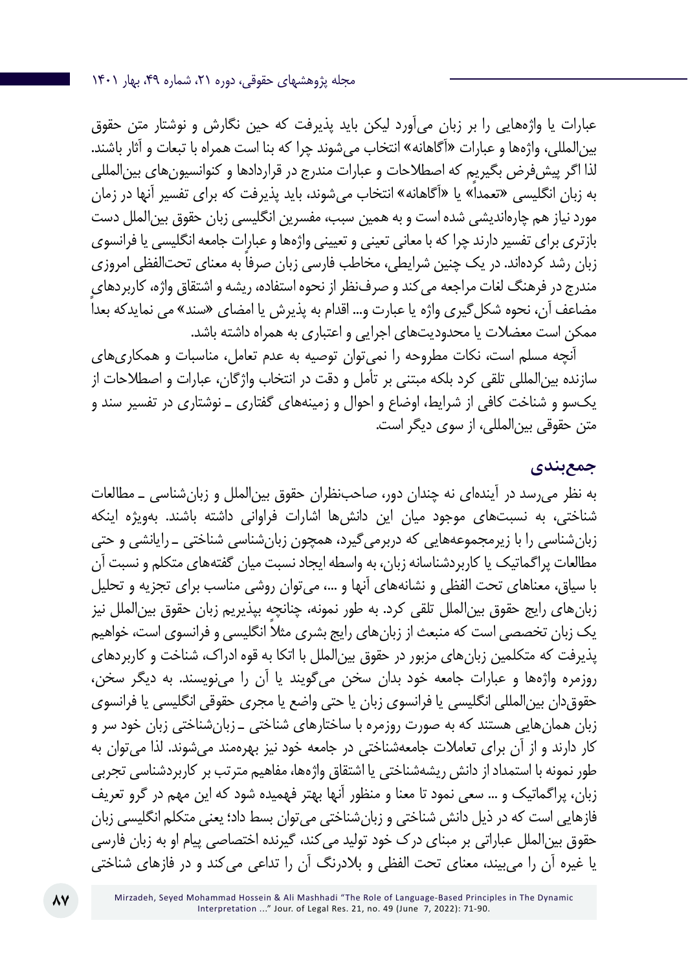عبارات یا واژههایی را بر زبان میآورد لیکن باید پذیرفت که حین نگارش و نوشتار متن حقوق بینالمللی، واژهها و عبارات »آگاهانه« انتخاب میشوند چرا که بنا است همراه با تبعات و آثار باشند. لذا اگر پیشفرض بگیریم که اصطالحات و عبارات مندرج در قراردادها و کنوانسیونهای بینالمللی به زبان انگلیسی »تعمداً« یا »آگاهانه« انتخاب میشوند، باید پذیرفت که برای تفسیر آنها در زمان مورد نیاز هم چارهاندیشی شده است و به همین سبب، مفسرین انگلیسی زبان حقوق بینالملل دست بازتری برای تفسیر دارند چرا که با معانی تعینی و تعیینی واژهها و عبارات جامعه انگلیسی یا فرانسوی زبان رشد کردهاند. در یک چنین شرایطی، مخاطب فارسی زبان صرفاً به معنای تحتالفظی امروزی مندرج در فرهنگ لغات مراجعه میکند و صرفنظر از نحوه استفاده، ریشه و اشتقاق واژه، کاربردهای مضاعف آن، نحوه شکلگیری واژه یا عبارت و... اقدام به پذیرش یا امضای »سند« می نمایدکه بعداً ممکن است معضالت یا محدودیتهای اجرایی و اعتباری به همراه داشته باشد.

آنچه مسلم است، نکات مطروحه را نمیتوان توصیه به عدم تعامل، مناسبات و همکاریهای سازنده بینالمللی تلقی کرد بلکه مبتنی بر تأمل و دقت در انتخاب واژگان، عبارات و اصطالحات از یکسو و شناخت کافی از شرایط، اوضاع و احوال و زمینههای گفتاری ـ نوشتاری در تفسیر سند و متن حقوقی بینالمللی، از سوی دیگر است.

#### **جمعبندی**

به نظر میرسد در آیندهای نه چندان دور، صاحبنظران حقوق بینالملل و زبانشناسی ـ مطالعات شناختی، به نسبتهای موجود میان این دانشها اشارات فراوانی داشته باشند. بهویژه اینکه زبانشناسی را با زیرمجموعههایی که دربرمیگیرد، همچون زبانشناسی شناختی ـ رایانشی و حتی مطالعات پراگماتیک یا کاربردشناسانه زبان، به واسطه ایجاد نسبت میان گفتههای متکلم و نسبت آن با سیاق، معناهای تحت الفظی و نشانههای آنها و ،... میتوان روشی مناسب برای تجزیه و تحلیل زبانهای رایج حقوق بینالملل تلقی کرد. به طور نمونه، چنانچه بپذیریم زبان حقوق بینالملل نیز یک زبان تخصصی است که منبعث از زبان های رایج بشری مثلا انگلیسی و فرانسوی است، خواهیم پذیرفت که متکلمین زبانهای مزبور در حقوق بینالملل با اتکا به قوه ادراک، شناخت و کاربردهای روزمره واژهها و عبارات جامعه خود بدان سخن میگویند یا آن را مینویسند. به دیگر سخن، حقوقدان بینالمللی انگلیسی یا فرانسوی زبان یا حتی واضع یا مجری حقوقی انگلیسی یا فرانسوی زبان همانهایی هستند که به صورت روزمره با ساختارهای شناختی ـ زبانشناختی زبان خود سر و کار دارند و از آن برای تعامالت جامعهشناختی در جامعه خود نیز بهرهمند میشوند. لذا میتوان به طور نمونه با استمداد از دانش ریشهشناختی یا اشتقاق واژهها، مفاهیم مترتب بر کاربردشناسی تجربی زبان، پراگماتیک و ... سعی نمود تا معنا و منظور آنها بهتر فهمیده شود که این مهم در گرو تعریف فازهایی است که در ذیل دانش شناختی و زبانشناختی میتوان بسط داد؛ یعنی متکلم انگلیسی زبان حقوق بین|لملل عباراتی بر مبنای درک خود تولید می کند، گیرنده اختصاصی پیام او به زبان فارسی یا غیره آن را میبیند، معنای تحت الفظی و بالدرنگ آن را تداعی میکند و در فازهای شناختی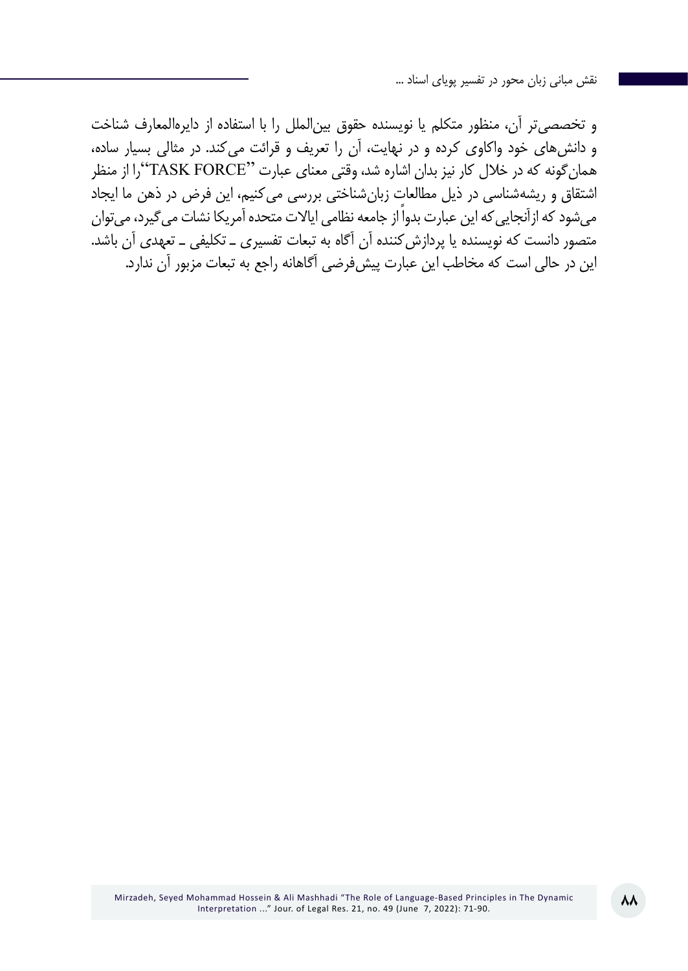و تخصصیتر آن، منظور متکلم یا نویسنده حقوق بینالملل را با استفاده از دایرهالمعارف شناخت و دانشهای خود واکاوی کرده و در نهایت، آن را تعریف و قرائت میکند. در مثالی بسیار ساده، همانگونه که در خالل کار نیز بدان اشاره شد، وقتی معنای عبارت "FORCE TASK"را از منظر اشتقاق و ریشهشناسی در ذیل مطالعات زبانشناختی بررسی میکنیم، این فرض در ذهن ما ایجاد میشود که ازآنجاییکه این عبارت بدواً از جامعه نظامی ایاالت متحده آمریکا نشات میگیرد، میتوان متصور دانست که نویسنده یا پردازشکننده آن آگاه به تبعات تفسیری ـ تکلیفی ـ تعهدی آن باشد. این در حالی است که مخاطب این عبارت پیشفرضی آگاهانه راجع به تبعات مزبور آن ندارد.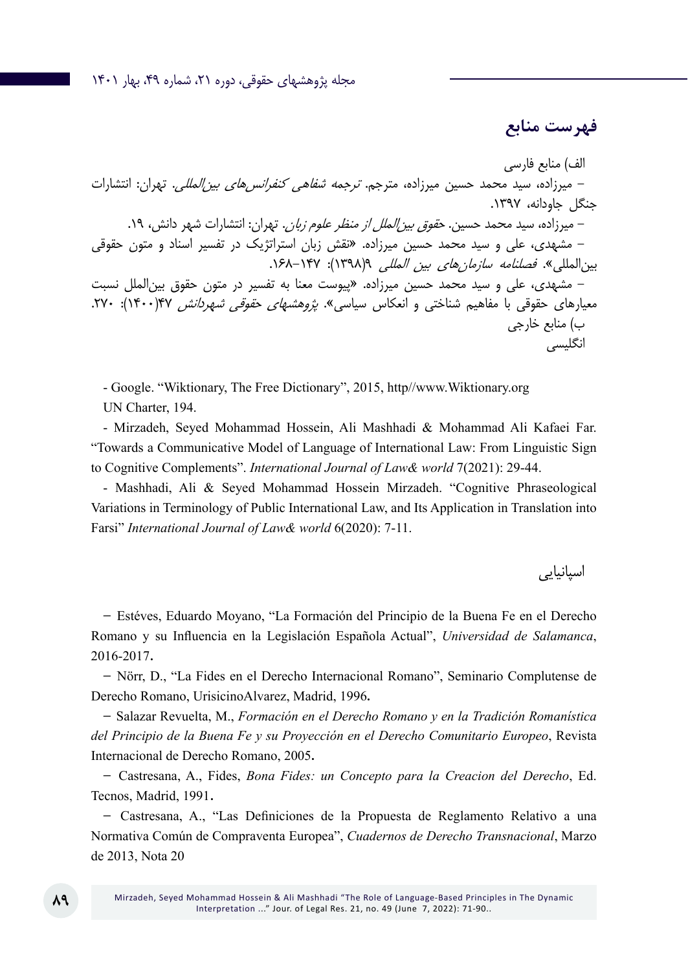## **فهرست منابع**

الف( منابع فارسی - میرزاده، سید محمد حسین میرزاده، مترجم. ترجمه شفاهی کنفرانسهای بینالمللی. تهران: انتشارات جنگل جاودانه، .1397 - میرزاده، سید محمد حسین. حقوق بینالملل از منظر علوم زبان. تهران: انتشارات شهر دانش، .19 - مشهدی، علی و سيد محمد حسين ميرزاده. »نقش زبان استراتژيك در تفسير اسناد و متون حقوقي بينالمللي«. فصلنامه سازمانهاي بين المللي 9)1398(: .168-147 - مشهدی، علی و سيد محمد حسين ميرزاده. »پيوست معنا به تفسير در متون حقوق بينالملل نسبت معيارهاي حقوقي با مفاهيم شناختي و انعكاس سياسي«. پژوهشهاي حقوقي شهردانش 47)1400(: .270 ب( منابع خارجی انگلیسی

- Google. "Wiktionary, The Free Dictionary", 2015, http//www.Wiktionary.org UN Charter, 194.

- Mirzadeh, Seyed Mohammad Hossein, Ali Mashhadi & Mohammad Ali Kafaei Far. "Towards a Communicative Model of Language of International Law: From Linguistic Sign to Cognitive Complements". *International Journal of Law& world* 7(2021): 29-44.

- Mashhadi, Ali & Seyed Mohammad Hossein Mirzadeh. "Cognitive Phraseological Variations in Terminology of Public International Law, and Its Application in Translation into Farsi" *International Journal of Law& world* 6(2020): 7-11.

اسپانیایی

- Estéves, Eduardo Moyano, "La Formación del Principio de la Buena Fe en el Derecho Romano y su Influencia en la Legislación Española Actual", *Universidad de Salamanca*, 2016-2017.

- Nörr, D., "La Fides en el Derecho Internacional Romano", Seminario Complutense de Derecho Romano, UrisicinoAlvarez, Madrid, 1996.

- Salazar Revuelta, M., *Formación en el Derecho Romano y en la Tradición Romanística del Principio de la Buena Fe y su Proyección en el Derecho Comunitario Europeo*, Revista Internacional de Derecho Romano, 2005.

- Castresana, A., Fides, *Bona Fides: un Concepto para la Creacion del Derecho*, Ed. Tecnos, Madrid, 1991.

- Castresana, A., "Las Definiciones de la Propuesta de Reglamento Relativo a una Normativa Común de Compraventa Europea", *Cuadernos de Derecho Transnacional*, Marzo de 2013, Nota 20